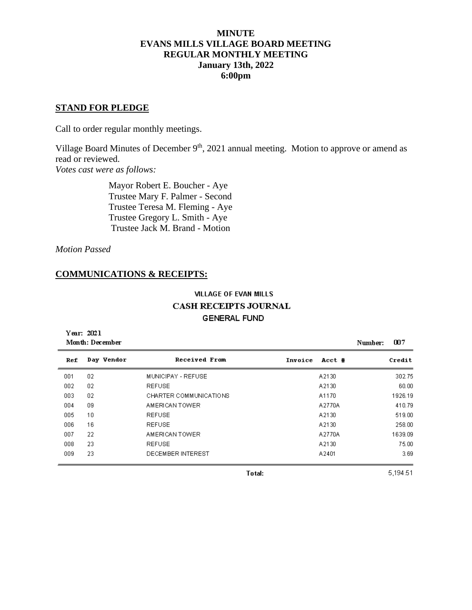# **MINUTE EVANS MILLS VILLAGE BOARD MEETING REGULAR MONTHLY MEETING January 13th, 2022 6:00pm**

### **STAND FOR PLEDGE**

Call to order regular monthly meetings.

Village Board Minutes of December  $9<sup>th</sup>$ , 2021 annual meeting. Motion to approve or amend as read or reviewed. *Votes cast were as follows:*

> Mayor Robert E. Boucher - Aye Trustee Mary F. Palmer - Second Trustee Teresa M. Fleming - Aye Trustee Gregory L. Smith - Aye Trustee Jack M. Brand - Motion

*Motion Passed*

# **COMMUNICATIONS & RECEIPTS:**

# **VILLAGE OF EVAN MILLS CASH RECEIPTS JOURNAL GENERAL FUND**

Year: 2021 Month: December  $007$ Number: Day Vendor Ref **Received From** Invoice Acct # Credit 001  $02$ MUNICIPAY - REFUSE A2130 302.75 002  $02\,$ **REFUSE** 60.00 A2130 003  $02$ CHARTER COMMUNICATIONS 1926.19 A1170 AMERICAN TOWER 004 09 A2770A 410.79 005  $10$ **REFUSE** A2130 519.00 006 **REFUSE** 258.00 16 A2130 007 AMERICAN TOWER 22 A2770A 1639.09  $008$ 23 **REFUSE** A2130 75.00 009 23 DECEMBER INTEREST A2401 3.69

**Total:** 

5,194.51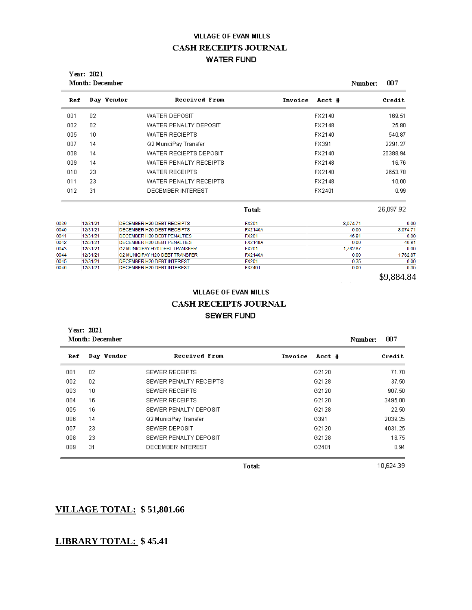# **VILLAGE OF EVAN MILLS CASH RECEIPTS JOURNAL WATER FUND**

| Year: 2021<br>Month: December |            |                        |                   | 007<br>Number: |
|-------------------------------|------------|------------------------|-------------------|----------------|
| Ref                           | Day Vendor | Received From          | Invoice<br>Acct # | Credit         |
| 001                           | 02         | <b>WATER DEPOSIT</b>   | FX2140            | 169.51         |
| 002                           | 02         | WATER PENALTY DEPOSIT  | FX2148            | 25.80          |
| 005                           | 10         | WATER RECIEPTS         | FX2140            | 540.87         |
| 007                           | 14         | Q2 MuniciPay Transfer  | FX391             | 2291.27        |
| 008                           | 14         | WATER RECIEPTS DEPOSIT | FX2140            | 20388.94       |
| 009                           | 14         | WATER PENALTY RECEIPTS | FX2148            | 16.76          |
| 010                           | 23         | WATER RECEIPTS         | FX2140            | 2653.78        |
| 011                           | 23         | WATER PENALTY RECEIPTS | FX2148            | 10.00          |
| 012                           | 31         | DECEMBER INTEREST      | FX2401            | 0.99           |
|                               |            |                        | Total:            | 26,097.92      |

| 0039 | 12/31/21 | DECEMBER H20 DEBT RECEIPTS     | <b>FX201</b>   | 8.074.71 | 0.00     |
|------|----------|--------------------------------|----------------|----------|----------|
| 0040 | 12/31/21 | DECEMBER H20 DEBT RECEIPTS     | <b>FX2140A</b> | 0.00     | 8.074.71 |
| 0041 | 12/31/21 | DECEMBER H20 DEBT PENALTIES    | <b>FX201</b>   | 46.91    | 0.00     |
| 0042 | 12/31/21 | DECEMBER H20 DEBT PENALTIES    | <b>FX2148A</b> | 0.00     | 46.91    |
| 0043 | 12/31/21 | Q2 MUNICIPAY H20 DEBT TRANSFER | <b>FX201</b>   | 1.762.87 | 0.00     |
| 0044 | 12/31/21 | Q2 MUNICIPAY H2O DEBT TRANSFER | <b>FX2140A</b> | 0.00     | 1.762.87 |
| 0045 | 12/31/21 | DECEMBER H20 DEBT INTEREST     | <b>FX201</b>   | 0.35     | 0.00     |
| 0046 | 12/31/21 | DECEMBER H20 DEBT INTEREST     | FX2401         | 0.00     | 0.35     |
|      |          |                                |                |          |          |

\$9,884.84

 $\frac{1}{2} \left( \frac{1}{2} \right)$ 

#### **VILLAGE OF EVAN MILLS**

# CASH RECEIPTS JOURNAL SEWER FUND

| Year: 2021<br>Month: December | 007<br>Number: |                        |                   |         |
|-------------------------------|----------------|------------------------|-------------------|---------|
| Ref                           | Day Vendor     | Received From          | Invoice<br>Acct # | Credit  |
| 001                           | 02             | SEWER RECEIPTS         | G2120             | 71.70   |
| 002                           | 02             | SEWER PENALTY RECEIPTS | G2128             | 37.50   |
| 003                           | 10             | SEWER RECEIPTS         | G2120             | 907.50  |
| 004                           | 16             | SEWER RECEIPTS         | G2120             | 3495.00 |
| 005                           | 16             | SEWER PENALTY DEPOSIT  | G2128             | 22.50   |
| 006                           | 14             | Q2 MuniciPay Transfer  | G391              | 2039.25 |
| 007                           | 23             | SEWER DEPOSIT          | G2120             | 4031.25 |
| 008                           | 23             | SEWER PENALTY DEPOSIT  | G2128             | 18.75   |
| 009                           | 31             | DECEMBER INTEREST      | G2401             | 0.94    |

Total:

10,624.39

# **VILLAGE TOTAL: \$ 51,801.66**

# **LIBRARY TOTAL: \$ 45.41**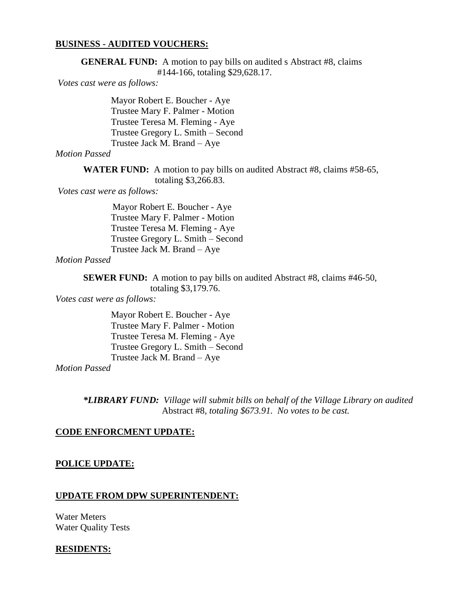### **BUSINESS - AUDITED VOUCHERS:**

**GENERAL FUND:** A motion to pay bills on audited s Abstract #8, claims #144-166, totaling \$29,628.17.

*Votes cast were as follows:*

Mayor Robert E. Boucher - Aye Trustee Mary F. Palmer - Motion Trustee Teresa M. Fleming - Aye Trustee Gregory L. Smith – Second Trustee Jack M. Brand – Aye

### *Motion Passed*

**WATER FUND:** A motion to pay bills on audited Abstract #8, claims #58-65, totaling \$3,266.83.

*Votes cast were as follows:*

 Mayor Robert E. Boucher - Aye Trustee Mary F. Palmer - Motion Trustee Teresa M. Fleming - Aye Trustee Gregory L. Smith – Second Trustee Jack M. Brand – Aye

# *Motion Passed*

**SEWER FUND:** A motion to pay bills on audited Abstract #8, claims #46-50, totaling \$3,179.76.

*Votes cast were as follows:*

Mayor Robert E. Boucher - Aye Trustee Mary F. Palmer - Motion Trustee Teresa M. Fleming - Aye Trustee Gregory L. Smith – Second Trustee Jack M. Brand – Aye

*Motion Passed*

*\*LIBRARY FUND: Village will submit bills on behalf of the Village Library on audited* Abstract #8*, totaling \$673.91. No votes to be cast.*

### **CODE ENFORCMENT UPDATE:**

#### **POLICE UPDATE:**

#### **UPDATE FROM DPW SUPERINTENDENT:**

Water Meters Water Quality Tests

#### **RESIDENTS:**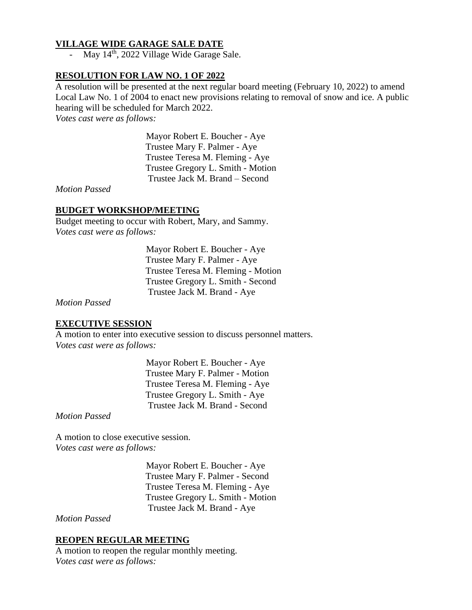# **VILLAGE WIDE GARAGE SALE DATE**

- May  $14<sup>th</sup>$ , 2022 Village Wide Garage Sale.

# **RESOLUTION FOR LAW NO. 1 OF 2022**

A resolution will be presented at the next regular board meeting (February 10, 2022) to amend Local Law No. 1 of 2004 to enact new provisions relating to removal of snow and ice. A public hearing will be scheduled for March 2022.

*Votes cast were as follows:*

 Mayor Robert E. Boucher - Aye Trustee Mary F. Palmer - Aye Trustee Teresa M. Fleming - Aye Trustee Gregory L. Smith - Motion Trustee Jack M. Brand – Second

*Motion Passed*

# **BUDGET WORKSHOP/MEETING**

Budget meeting to occur with Robert, Mary, and Sammy. *Votes cast were as follows:*

> Mayor Robert E. Boucher - Aye Trustee Mary F. Palmer - Aye Trustee Teresa M. Fleming - Motion Trustee Gregory L. Smith - Second Trustee Jack M. Brand - Aye

*Motion Passed*

# **EXECUTIVE SESSION**

A motion to enter into executive session to discuss personnel matters. *Votes cast were as follows:*

> Mayor Robert E. Boucher - Aye Trustee Mary F. Palmer - Motion Trustee Teresa M. Fleming - Aye Trustee Gregory L. Smith - Aye Trustee Jack M. Brand - Second

*Motion Passed*

A motion to close executive session. *Votes cast were as follows:*

> Mayor Robert E. Boucher - Aye Trustee Mary F. Palmer - Second Trustee Teresa M. Fleming - Aye Trustee Gregory L. Smith - Motion Trustee Jack M. Brand - Aye

*Motion Passed*

# **REOPEN REGULAR MEETING**

A motion to reopen the regular monthly meeting. *Votes cast were as follows:*